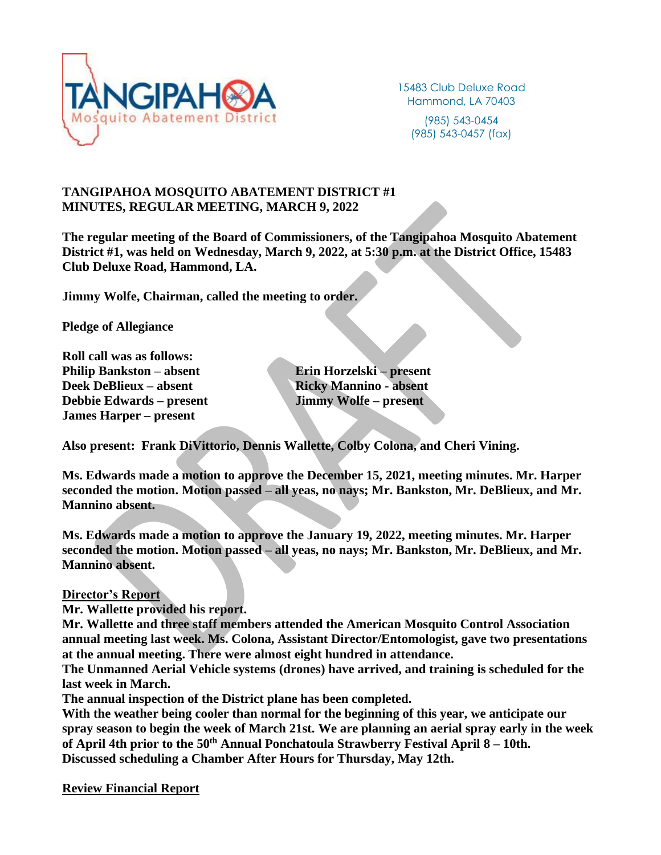

15483 Club Deluxe Road Hammond, LA 70403

(985) 543-0454 (985) 543-0457 (fax)

### **TANGIPAHOA MOSQUITO ABATEMENT DISTRICT #1 MINUTES, REGULAR MEETING, MARCH 9, 2022**

**The regular meeting of the Board of Commissioners, of the Tangipahoa Mosquito Abatement District #1, was held on Wednesday, March 9, 2022, at 5:30 p.m. at the District Office, 15483 Club Deluxe Road, Hammond, LA.**

**Jimmy Wolfe, Chairman, called the meeting to order.**

**Pledge of Allegiance**

**Roll call was as follows: Philip Bankston – absent Erin Horzelski – present Deek DeBlieux – absent Ricky Mannino - absent Debbie Edwards – present Jimmy Wolfe – present James Harper – present**

**Also present: Frank DiVittorio, Dennis Wallette, Colby Colona, and Cheri Vining.**

**Ms. Edwards made a motion to approve the December 15, 2021, meeting minutes. Mr. Harper seconded the motion. Motion passed – all yeas, no nays; Mr. Bankston, Mr. DeBlieux, and Mr. Mannino absent.**

**Ms. Edwards made a motion to approve the January 19, 2022, meeting minutes. Mr. Harper seconded the motion. Motion passed – all yeas, no nays; Mr. Bankston, Mr. DeBlieux, and Mr. Mannino absent.**

#### **Director's Report**

**Mr. Wallette provided his report.**

**Mr. Wallette and three staff members attended the American Mosquito Control Association annual meeting last week. Ms. Colona, Assistant Director/Entomologist, gave two presentations at the annual meeting. There were almost eight hundred in attendance.**

**The Unmanned Aerial Vehicle systems (drones) have arrived, and training is scheduled for the last week in March.**

**The annual inspection of the District plane has been completed.**

**With the weather being cooler than normal for the beginning of this year, we anticipate our spray season to begin the week of March 21st. We are planning an aerial spray early in the week of April 4th prior to the 50th Annual Ponchatoula Strawberry Festival April 8 – 10th. Discussed scheduling a Chamber After Hours for Thursday, May 12th.**

**Review Financial Report**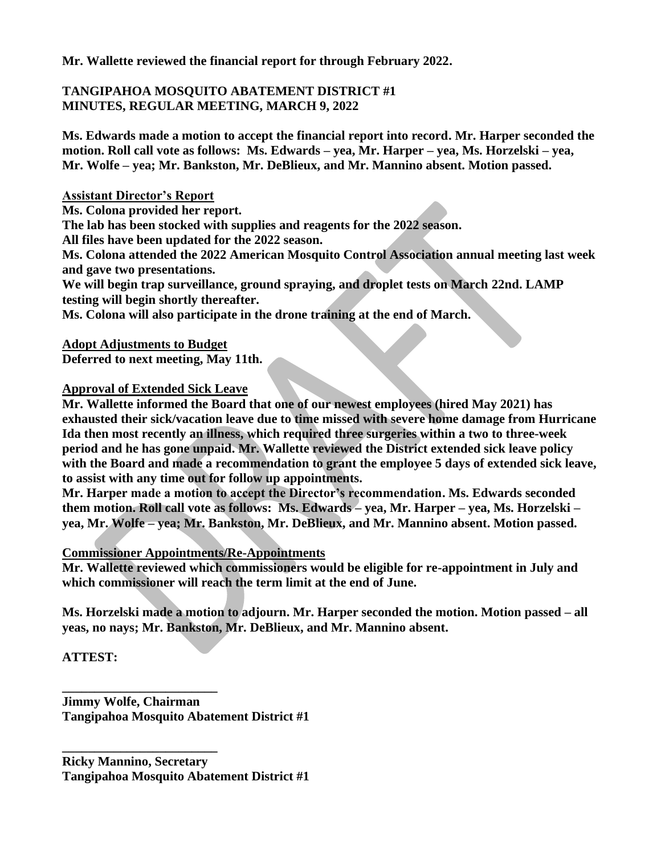### **Mr. Wallette reviewed the financial report for through February 2022.**

### **TANGIPAHOA MOSQUITO ABATEMENT DISTRICT #1 MINUTES, REGULAR MEETING, MARCH 9, 2022**

**Ms. Edwards made a motion to accept the financial report into record. Mr. Harper seconded the motion. Roll call vote as follows: Ms. Edwards – yea, Mr. Harper – yea, Ms. Horzelski – yea, Mr. Wolfe – yea; Mr. Bankston, Mr. DeBlieux, and Mr. Mannino absent. Motion passed.**

**Assistant Director's Report**

**Ms. Colona provided her report.**

**The lab has been stocked with supplies and reagents for the 2022 season.** 

**All files have been updated for the 2022 season.**

**Ms. Colona attended the 2022 American Mosquito Control Association annual meeting last week and gave two presentations.**

**We will begin trap surveillance, ground spraying, and droplet tests on March 22nd. LAMP testing will begin shortly thereafter.**

**Ms. Colona will also participate in the drone training at the end of March.**

**Adopt Adjustments to Budget**

**Deferred to next meeting, May 11th.**

**Approval of Extended Sick Leave** 

**Mr. Wallette informed the Board that one of our newest employees (hired May 2021) has exhausted their sick/vacation leave due to time missed with severe home damage from Hurricane Ida then most recently an illness, which required three surgeries within a two to three-week period and he has gone unpaid. Mr. Wallette reviewed the District extended sick leave policy with the Board and made a recommendation to grant the employee 5 days of extended sick leave, to assist with any time out for follow up appointments.** 

**Mr. Harper made a motion to accept the Director's recommendation. Ms. Edwards seconded them motion. Roll call vote as follows: Ms. Edwards – yea, Mr. Harper – yea, Ms. Horzelski – yea, Mr. Wolfe – yea; Mr. Bankston, Mr. DeBlieux, and Mr. Mannino absent. Motion passed.**

## **Commissioner Appointments/Re-Appointments**

**Mr. Wallette reviewed which commissioners would be eligible for re-appointment in July and which commissioner will reach the term limit at the end of June.**

**Ms. Horzelski made a motion to adjourn. Mr. Harper seconded the motion. Motion passed – all yeas, no nays; Mr. Bankston, Mr. DeBlieux, and Mr. Mannino absent.**

# **ATTEST:**

**Jimmy Wolfe, Chairman Tangipahoa Mosquito Abatement District #1**

**\_\_\_\_\_\_\_\_\_\_\_\_\_\_\_\_\_\_\_\_\_\_\_\_**

**\_\_\_\_\_\_\_\_\_\_\_\_\_\_\_\_\_\_\_\_\_\_\_\_**

**Ricky Mannino, Secretary Tangipahoa Mosquito Abatement District #1**